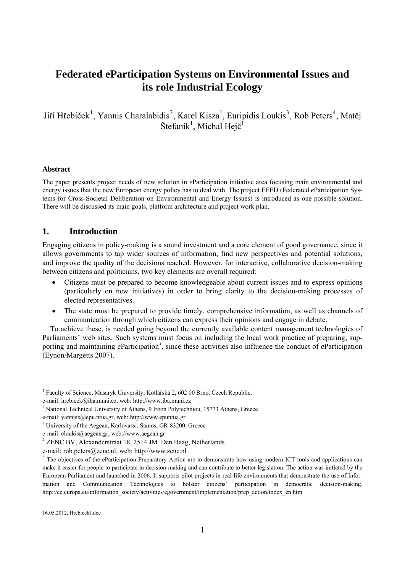# **Federated eParticipation Systems on Environmental Issues and its role Industrial Ecology**

Jiří Hřebíček<sup>[1](#page-0-0)</sup>, Yannis Charalabidis<sup>[2](#page-0-1)</sup>, Karel Kisza<sup>1</sup>, Euripidis Loukis<sup>[3](#page-0-2)</sup>, Rob Peters<sup>[4](#page-0-3)</sup>, Matěj Štefaník<sup>1</sup>, Michal Hejč<sup>1</sup>

#### **Abstract**

The paper presents project needs of new solution in *e*Participation initiative area focusing main environmental and energy issues that the new European energy policy has to deal with. The project FEED (Federated *e*Participation Systems for Cross-Societal Deliberation on Environmental and Energy Issues) is introduced as one possible solution. There will be discussed its main goals, platform architecture and project work plan.

## **1. Introduction**

Engaging citizens in policy-making is a sound investment and a core element of good governance, since it allows governments to tap wider sources of information, find new perspectives and potential solutions, and improve the quality of the decisions reached. However, for interactive, collaborative decision-making between citizens and politicians, two key elements are overall required:

- Citizens must be prepared to become knowledgeable about current issues and to express opinions (particularly on new initiatives) in order to bring clarity to the decision-making processes of elected representatives.
- The state must be prepared to provide timely, comprehensive information, as well as channels of communication through which citizens can express their opinions and engage in debate.

To achieve these, is needed going beyond the currently available content management technologies of Parliaments' web sites. Such systems must focus on including the local work practice of preparing; supporting and maintaining *e*Participation<sup>[5](#page-0-4)</sup>, since these activities also influence the conduct of *e*Participation (Eynon/Margetts 2007).

<span id="page-0-0"></span><sup>&</sup>lt;sup>1</sup> Faculty of Science, Masaryk University, Kotlářská 2, 602 00 Brno, Czech Republic,

e-mail: hrebicek@iba.muni.cz, web: http://www.iba.muni.cz<br><sup>2</sup> National Technical University of Athens, 9 Iroon Polytechniou, 15773 Athens, Greece

<span id="page-0-1"></span>e-mail: yannisx@epu.ntua.gr, web: http://www.epuntua.gr 3

<span id="page-0-2"></span><sup>&</sup>lt;sup>3</sup> University of the Aegean, Karlovassi, Samos, GR-83200, Greece

e-mail: [eloukis@aegean.gr](mailto:eloukis@aegean.gr), web://www.aegean.gr 4

<span id="page-0-3"></span><sup>&</sup>lt;sup>4</sup> ZENC BV, Alexanderstraat 18, 2514 JM Den Haag, Netherlands

e-mail: rob.peters@zenc.nl, web: http://www.zenc.nl

<span id="page-0-4"></span> $<sup>5</sup>$  The objectives of the eParticipation Preparatory Action are to demonstrate how using modern ICT tools and applications can</sup> make it easier for people to participate in decision-making and can contribute to better legislation. The action was initiated by the European Parliament and launched in 2006. It supports pilot projects in real-life environments that demonstrate the use of Information and Communication Technologies to bolster citizens' participation in democratic decision-making. http://ec.europa.eu/information\_society/activities/egovernment/implementation/prep\_action/index\_en.htm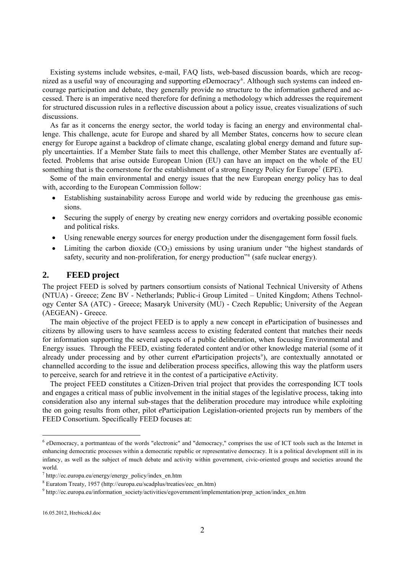Existing systems include websites, e-mail, FAQ lists, web-based discussion boards, which are recog-nized as a useful way of encouraging and supporting eDemocracy<sup>[6](#page-1-0)</sup>. Although such systems can indeed encourage participation and debate, they generally provide no structure to the information gathered and accessed. There is an imperative need therefore for defining a methodology which addresses the requirement for structured discussion rules in a reflective discussion about a policy issue, creates visualizations of such discussions.

As far as it concerns the energy sector, the world today is facing an energy and environmental challenge. This challenge, acute for Europe and shared by all Member States, concerns how to secure clean energy for Europe against a backdrop of climate change, escalating global energy demand and future supply uncertainties. If a Member State fails to meet this challenge, other Member States are eventually affected. Problems that arise outside European Union (EU) can have an impact on the whole of the EU something that is the cornerstone for the establishment of a strong Energy Policy for Europe<sup>7</sup> (EPE).

Some of the main environmental and energy issues that the new European energy policy has to deal with, according to the European Commission follow:

- Establishing sustainability across Europe and world wide by reducing the greenhouse gas emissions.
- Securing the supply of energy by creating new energy corridors and overtaking possible economic and political risks.
- Using renewable energy sources for energy production under the disengagement form fossil fuels.
- Limiting the carbon dioxide  $(CO_2)$  emissions by using uranium under "the highest standards of safety, security and non-proliferation, for energy production<sup>38</sup> (safe nuclear energy).

## **2. FEED project**

The project FEED is solved by partners consortium consists of National Technical University of Athens (NTUA) - Greece; Zenc BV - Netherlands; Public-i Group Limited – United Kingdom; Athens Technology Center SA (ATC) - Greece; Masaryk University (MU) - Czech Republic; University of the Aegean (AEGEAN) - Greece.

The main objective of the project FEED is to apply a new concept in *e*Participation of businesses and citizens by allowing users to have seamless access to existing federated content that matches their needs for information supporting the several aspects of a public deliberation, when focusing Environmental and Energy issues. Through the FEED, existing federated content and/or other knowledge material (some of it already under processing and by other current *e*Participation projects<sup>[9](#page-1-3)</sup>), are contextually annotated or channelled according to the issue and deliberation process specifics, allowing this way the platform users to perceive, search for and retrieve it in the contest of a participative *e*Activity.

The project FEED constitutes a Citizen-Driven trial project that provides the corresponding ICT tools and engages a critical mass of public involvement in the initial stages of the legislative process, taking into consideration also any internal sub-stages that the deliberation procedure may introduce while exploiting the on going results from other, pilot *e*Participation Legislation-oriented projects run by members of the FEED Consortium. Specifically FEED focuses at:

<span id="page-1-0"></span><sup>6</sup> *e*Democracy, a portmanteau of the words "electronic" and "democracy," comprises the use of ICT tools such as the Internet in enhancing democratic processes within a democratic republic or representative democracy. It is a political development still in its infancy, as well as the subject of much debate and activity within government, civic-oriented groups and societies around the world.

<sup>&</sup>lt;sup>7</sup> http://ec.europa.eu/energy/energy\_policy/index\_en.htm<br><sup>8</sup> Eurotom Treaty, 1957 (http://ourope.ou/eagchlus/treaties

<span id="page-1-2"></span><span id="page-1-1"></span>Euratom Treaty, 1957 (http://europa.eu/scadplus/treaties/eec\_en.htm) 9

<span id="page-1-3"></span> $^9$ http://ec.europa.eu/information\_society/activities/egovernment/implementation/prep\_action/index\_en.htm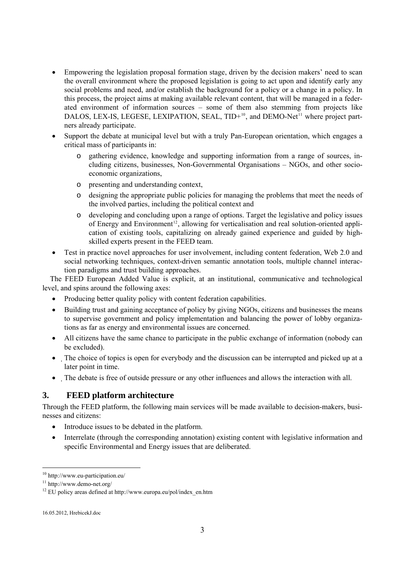- Empowering the legislation proposal formation stage, driven by the decision makers' need to scan the overall environment where the proposed legislation is going to act upon and identify early any social problems and need, and/or establish the background for a policy or a change in a policy. In this process, the project aims at making available relevant content, that will be managed in a federated environment of information sources – some of them also stemming from projects like DALOS, LEX-IS, LEGESE, LEXIPATION, SEAL, TID+<sup>[10](#page-2-0)</sup>, and DEMO-Net<sup>[11](#page-2-0)</sup> where project partners already participate.
- Support the debate at municipal level but with a truly Pan-European orientation, which engages a critical mass of participants in:
	- o gathering evidence, knowledge and supporting information from a range of sources, including citizens, businesses, Non-Governmental Organisations – NGOs, and other socioeconomic organizations,
	- o presenting and understanding context,
	- o designing the appropriate public policies for managing the problems that meet the needs of the involved parties, including the political context and
	- o developing and concluding upon a range of options. Target the legislative and policy issues of Energy and Environment<sup>[12](#page-2-0)</sup>, allowing for verticalisation and real solution-oriented application of existing tools, capitalizing on already gained experience and guided by highskilled experts present in the FEED team.
- Test in practice novel approaches for user involvement, including content federation, Web 2.0 and social networking techniques, context-driven semantic annotation tools, multiple channel interaction paradigms and trust building approaches.

The FEED European Added Value is explicit, at an institutional, communicative and technological level, and spins around the following axes:

- Producing better quality policy with content federation capabilities.
- Building trust and gaining acceptance of policy by giving NGOs, citizens and businesses the means to supervise government and policy implementation and balancing the power of lobby organizations as far as energy and environmental issues are concerned.
- All citizens have the same chance to participate in the public exchange of information (nobody can be excluded).
- The choice of topics is open for everybody and the discussion can be interrupted and picked up at a later point in time.
- The debate is free of outside pressure or any other influences and allows the interaction with all.

## **3. FEED platform architecture**

Through the FEED platform, the following main services will be made available to decision-makers, businesses and citizens:

- Introduce issues to be debated in the platform.
- Interrelate (through the corresponding annotation) existing content with legislative information and specific Environmental and Energy issues that are deliberated.

<span id="page-2-0"></span><sup>10</sup> http://www.eu-participation.eu/

<sup>11</sup> http://www.demo-net.org/

 $12$  EU policy areas defined at http://www.europa.eu/pol/index\_en.htm

<sup>16.05.2012,</sup> HrebicekJ.doc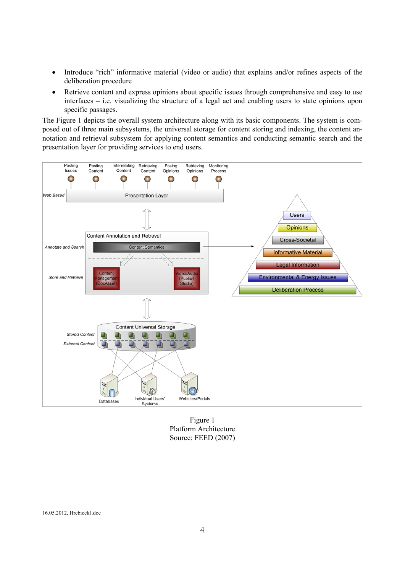- Introduce "rich" informative material (video or audio) that explains and/or refines aspects of the deliberation procedure
- Retrieve content and express opinions about specific issues through comprehensive and easy to use interfaces – i.e. visualizing the structure of a legal act and enabling users to state opinions upon specific passages.

The Figure 1 depicts the overall system architecture along with its basic components. The system is composed out of three main subsystems, the universal storage for content storing and indexing, the content annotation and retrieval subsystem for applying content semantics and conducting semantic search and the presentation layer for providing services to end users.



Platform Architecture Source: FEED (2007)

16.05.2012, HrebicekJ.doc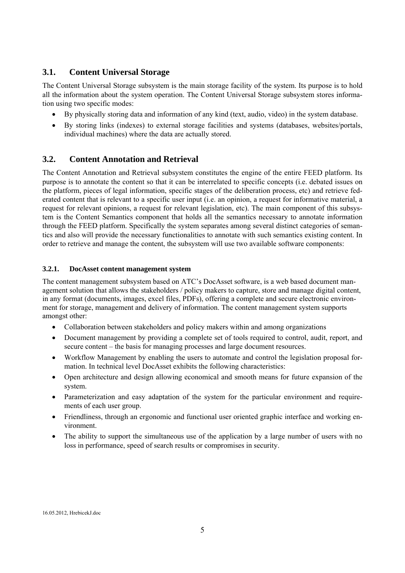# **3.1. Content Universal Storage**

The Content Universal Storage subsystem is the main storage facility of the system. Its purpose is to hold all the information about the system operation. The Content Universal Storage subsystem stores information using two specific modes:

- By physically storing data and information of any kind (text, audio, video) in the system database.
- By storing links (indexes) to external storage facilities and systems (databases, websites/portals, individual machines) where the data are actually stored.

# **3.2. Content Annotation and Retrieval**

The Content Annotation and Retrieval subsystem constitutes the engine of the entire FEED platform. Its purpose is to annotate the content so that it can be interrelated to specific concepts (i.e. debated issues on the platform, pieces of legal information, specific stages of the deliberation process, etc) and retrieve federated content that is relevant to a specific user input (i.e. an opinion, a request for informative material, a request for relevant opinions, a request for relevant legislation, etc). The main component of this subsystem is the Content Semantics component that holds all the semantics necessary to annotate information through the FEED platform. Specifically the system separates among several distinct categories of semantics and also will provide the necessary functionalities to annotate with such semantics existing content. In order to retrieve and manage the content, the subsystem will use two available software components:

### **3.2.1. DocAsset content management system**

The content management subsystem based on ATC's DocAsset software, is a web based document management solution that allows the stakeholders / policy makers to capture, store and manage digital content, in any format (documents, images, excel files, PDFs), offering a complete and secure electronic environment for storage, management and delivery of information. The content management system supports amongst other:

- Collaboration between stakeholders and policy makers within and among organizations
- Document management by providing a complete set of tools required to control, audit, report, and secure content – the basis for managing processes and large document resources.
- Workflow Management by enabling the users to automate and control the legislation proposal formation. In technical level DocAsset exhibits the following characteristics:
- Open architecture and design allowing economical and smooth means for future expansion of the system.
- Parameterization and easy adaptation of the system for the particular environment and requirements of each user group.
- Friendliness, through an ergonomic and functional user oriented graphic interface and working environment.
- The ability to support the simultaneous use of the application by a large number of users with no loss in performance, speed of search results or compromises in security.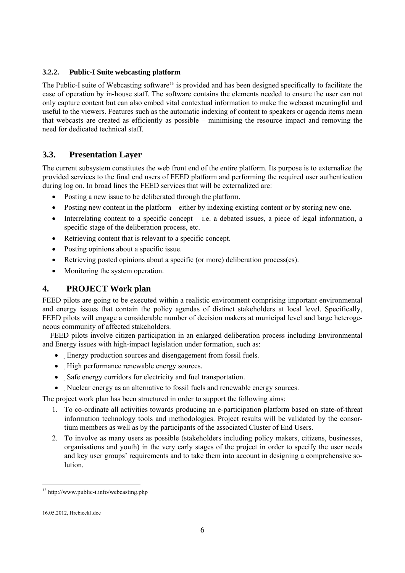## **3.2.2. Public-I Suite webcasting platform**

The Public-I suite of Webcasting software<sup>[13](#page-5-0)</sup> is provided and has been designed specifically to facilitate the ease of operation by in-house staff. The software contains the elements needed to ensure the user can not only capture content but can also embed vital contextual information to make the webcast meaningful and useful to the viewers. Features such as the automatic indexing of content to speakers or agenda items mean that webcasts are created as efficiently as possible – minimising the resource impact and removing the need for dedicated technical staff.

## **3.3. Presentation Layer**

The current subsystem constitutes the web front end of the entire platform. Its purpose is to externalize the provided services to the final end users of FEED platform and performing the required user authentication during log on. In broad lines the FEED services that will be externalized are:

- Posting a new issue to be deliberated through the platform.
- Posting new content in the platform either by indexing existing content or by storing new one.
- Interrelating content to a specific concept i.e. a debated issues, a piece of legal information, a specific stage of the deliberation process, etc.
- Retrieving content that is relevant to a specific concept.
- Posting opinions about a specific issue.
- Retrieving posted opinions about a specific (or more) deliberation process(es).
- Monitoring the system operation.

## **4. PROJECT Work plan**

FEED pilots are going to be executed within a realistic environment comprising important environmental and energy issues that contain the policy agendas of distinct stakeholders at local level. Specifically, FEED pilots will engage a considerable number of decision makers at municipal level and large heterogeneous community of affected stakeholders.

FEED pilots involve citizen participation in an enlarged deliberation process including Environmental and Energy issues with high-impact legislation under formation, such as:

- Energy production sources and disengagement from fossil fuels.
- High performance renewable energy sources.
- Safe energy corridors for electricity and fuel transportation.
- Nuclear energy as an alternative to fossil fuels and renewable energy sources.

The project work plan has been structured in order to support the following aims:

- 1. To co-ordinate all activities towards producing an e-participation platform based on state-of-threat information technology tools and methodologies. Project results will be validated by the consortium members as well as by the participants of the associated Cluster of End Users.
- 2. To involve as many users as possible (stakeholders including policy makers, citizens, businesses, organisations and youth) in the very early stages of the project in order to specify the user needs and key user groups' requirements and to take them into account in designing a comprehensive solution.

<span id="page-5-0"></span><sup>13</sup> http://www.public-i.info/webcasting.php

<sup>16.05.2012,</sup> HrebicekJ.doc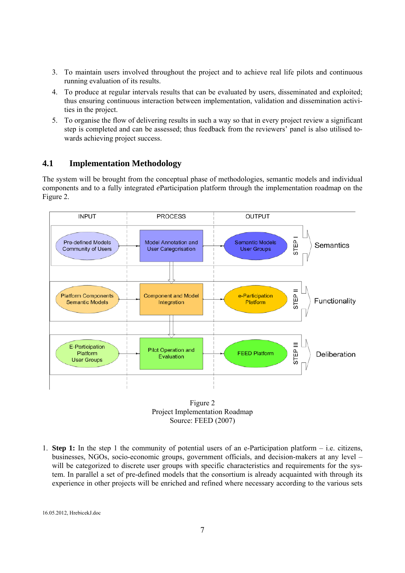- 3. To maintain users involved throughout the project and to achieve real life pilots and continuous running evaluation of its results.
- 4. To produce at regular intervals results that can be evaluated by users, disseminated and exploited; thus ensuring continuous interaction between implementation, validation and dissemination activities in the project.
- 5. To organise the flow of delivering results in such a way so that in every project review a significant step is completed and can be assessed; thus feedback from the reviewers' panel is also utilised towards achieving project success.

# **4.1 Implementation Methodology**

The system will be brought from the conceptual phase of methodologies, semantic models and individual components and to a fully integrated *e*Participation platform through the implementation roadmap on the Figure 2.





1. **Step 1:** In the step 1 the community of potential users of an e-Participation platform – i.e. citizens, businesses, NGOs, socio-economic groups, government officials, and decision-makers at any level – will be categorized to discrete user groups with specific characteristics and requirements for the system. In parallel a set of pre-defined models that the consortium is already acquainted with through its experience in other projects will be enriched and refined where necessary according to the various sets